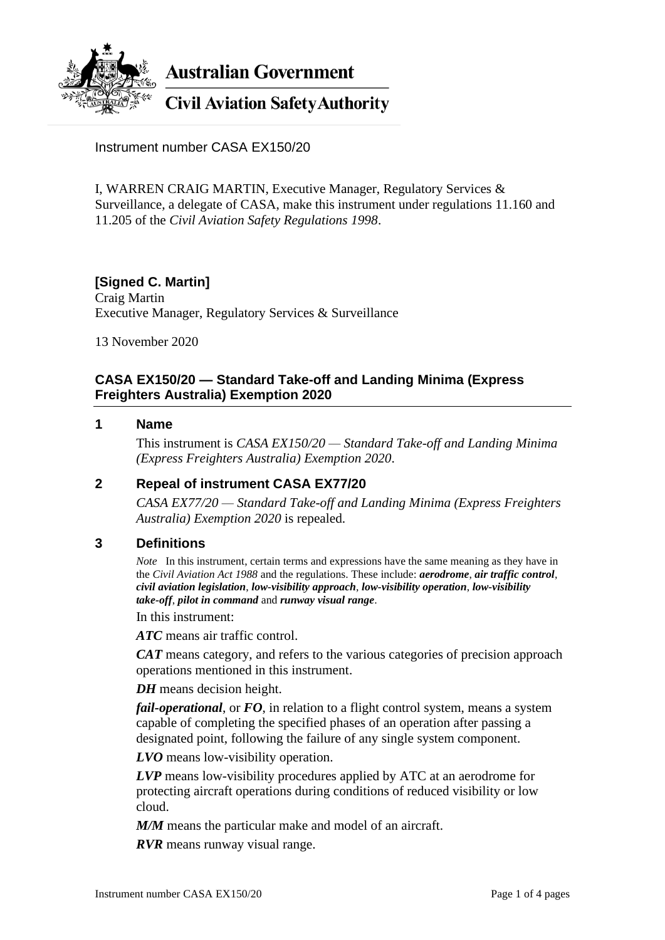

**Australian Government** 

# **Civil Aviation Safety Authority**

Instrument number CASA EX150/20

I, WARREN CRAIG MARTIN, Executive Manager, Regulatory Services & Surveillance, a delegate of CASA, make this instrument under regulations 11.160 and 11.205 of the *Civil Aviation Safety Regulations 1998*.

# **[Signed C. Martin]**

Craig Martin Executive Manager, Regulatory Services & Surveillance

13 November 2020

### **CASA EX150/20 — Standard Take-off and Landing Minima (Express Freighters Australia) Exemption 2020**

#### **1 Name**

This instrument is *CASA EX150/20 — Standard Take-off and Landing Minima (Express Freighters Australia) Exemption 2020*.

### **2 Repeal of instrument CASA EX77/20**

*CASA EX77/20 — Standard Take-off and Landing Minima (Express Freighters Australia) Exemption 2020* is repealed.

### **3 Definitions**

*Note* In this instrument, certain terms and expressions have the same meaning as they have in the *Civil Aviation Act 1988* and the regulations. These include: *aerodrome*, *air traffic control*, *civil aviation legislation*, *low-visibility approach*, *low-visibility operation*, *low-visibility take-off*, *pilot in command* and *runway visual range*.

In this instrument:

*ATC* means air traffic control.

*CAT* means category, and refers to the various categories of precision approach operations mentioned in this instrument.

*DH* means decision height.

*fail-operational*, or *FO*, in relation to a flight control system, means a system capable of completing the specified phases of an operation after passing a designated point, following the failure of any single system component.

*LVO* means low-visibility operation.

*LVP* means low-visibility procedures applied by ATC at an aerodrome for protecting aircraft operations during conditions of reduced visibility or low cloud.

*M/M* means the particular make and model of an aircraft.

*RVR* means runway visual range.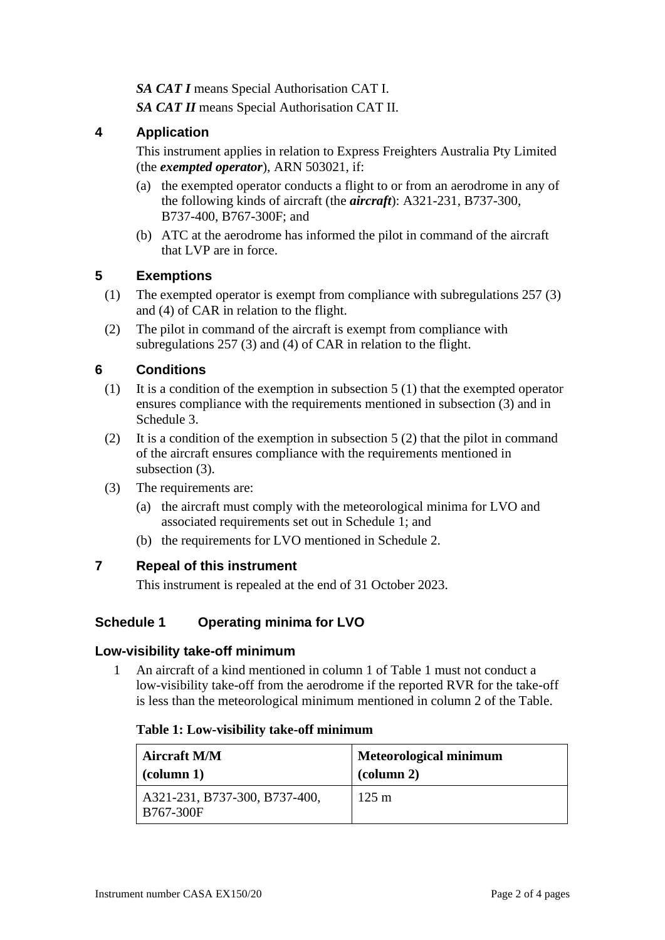*SA CAT I* means Special Authorisation CAT I.

*SA CAT II* means Special Authorisation CAT II.

### **4 Application**

This instrument applies in relation to Express Freighters Australia Pty Limited (the *exempted operator*), ARN 503021, if:

- (a) the exempted operator conducts a flight to or from an aerodrome in any of the following kinds of aircraft (the *aircraft*): A321-231, B737-300, B737-400, B767-300F; and
- (b) ATC at the aerodrome has informed the pilot in command of the aircraft that LVP are in force.

### **5 Exemptions**

- (1) The exempted operator is exempt from compliance with subregulations 257 (3) and (4) of CAR in relation to the flight.
- (2) The pilot in command of the aircraft is exempt from compliance with subregulations 257 (3) and (4) of CAR in relation to the flight.

# **6 Conditions**

- (1) It is a condition of the exemption in subsection 5 (1) that the exempted operator ensures compliance with the requirements mentioned in subsection (3) and in Schedule 3.
- (2) It is a condition of the exemption in subsection 5 (2) that the pilot in command of the aircraft ensures compliance with the requirements mentioned in subsection (3).
- (3) The requirements are:
	- (a) the aircraft must comply with the meteorological minima for LVO and associated requirements set out in Schedule 1; and
	- (b) the requirements for LVO mentioned in Schedule 2.

### **7 Repeal of this instrument**

This instrument is repealed at the end of 31 October 2023.

# **Schedule 1 Operating minima for LVO**

### **Low-visibility take-off minimum**

1 An aircraft of a kind mentioned in column 1 of Table 1 must not conduct a low-visibility take-off from the aerodrome if the reported RVR for the take-off is less than the meteorological minimum mentioned in column 2 of the Table.

#### **Table 1: Low-visibility take-off minimum**

| <b>Aircraft M/M</b>                        | <b>Meteorological minimum</b> |
|--------------------------------------------|-------------------------------|
| $\alpha$ (column 1)                        | $\alpha$ (column 2)           |
| A321-231, B737-300, B737-400,<br>B767-300F | $125 \text{ m}$               |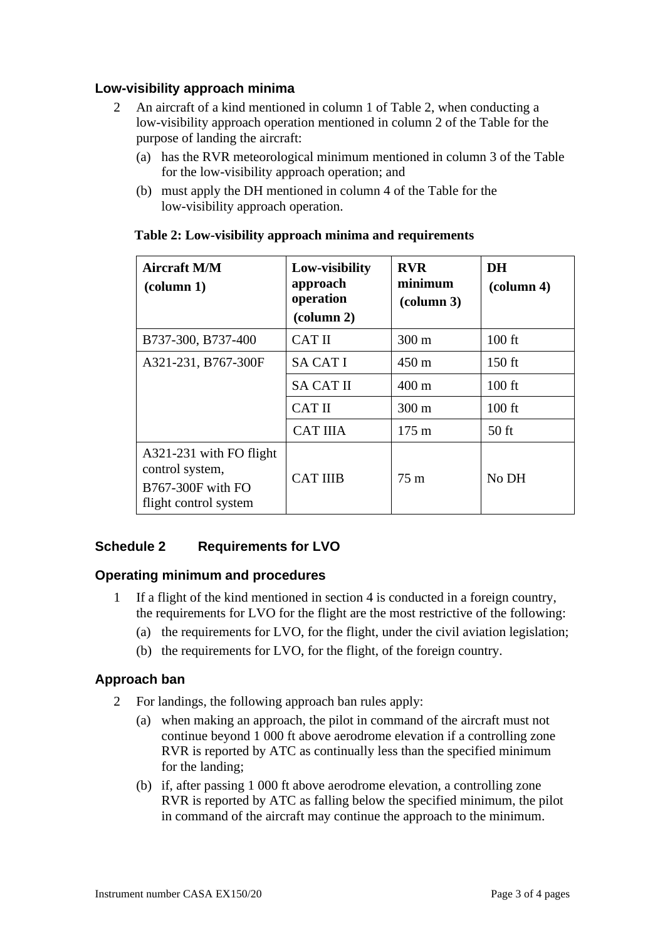### **Low-visibility approach minima**

- 2 An aircraft of a kind mentioned in column 1 of Table 2, when conducting a low-visibility approach operation mentioned in column 2 of the Table for the purpose of landing the aircraft:
	- (a) has the RVR meteorological minimum mentioned in column 3 of the Table for the low-visibility approach operation; and
	- (b) must apply the DH mentioned in column 4 of the Table for the low-visibility approach operation.

| <b>Aircraft M/M</b><br>$\left(\text{column } 1\right)$                                   | Low-visibility<br>approach<br>operation<br>(column 2) | <b>RVR</b><br>minimum<br>$\left(\text{column }3\right)$ | DH<br>$\text{(column 4)}$ |
|------------------------------------------------------------------------------------------|-------------------------------------------------------|---------------------------------------------------------|---------------------------|
| B737-300, B737-400                                                                       | <b>CATII</b>                                          | $300 \text{ m}$                                         | $100$ ft                  |
| A321-231, B767-300F                                                                      | <b>SA CAT I</b>                                       | $450 \text{ m}$                                         | $150$ ft                  |
|                                                                                          | <b>SA CAT II</b>                                      | $400 \text{ m}$                                         | $100$ ft                  |
|                                                                                          | <b>CATII</b>                                          | 300 m                                                   | $100$ ft                  |
|                                                                                          | <b>CAT IIIA</b>                                       | $175 \text{ m}$                                         | $50$ ft                   |
| A321-231 with FO flight<br>control system,<br>B767-300F with FO<br>flight control system | <b>CAT IIIB</b>                                       | 75m                                                     | No DH                     |

#### **Table 2: Low-visibility approach minima and requirements**

# **Schedule 2 Requirements for LVO**

### **Operating minimum and procedures**

- 1 If a flight of the kind mentioned in section 4 is conducted in a foreign country, the requirements for LVO for the flight are the most restrictive of the following:
	- (a) the requirements for LVO, for the flight, under the civil aviation legislation;
	- (b) the requirements for LVO, for the flight, of the foreign country.

### **Approach ban**

- 2 For landings, the following approach ban rules apply:
	- (a) when making an approach, the pilot in command of the aircraft must not continue beyond 1 000 ft above aerodrome elevation if a controlling zone RVR is reported by ATC as continually less than the specified minimum for the landing;
	- (b) if, after passing 1 000 ft above aerodrome elevation, a controlling zone RVR is reported by ATC as falling below the specified minimum, the pilot in command of the aircraft may continue the approach to the minimum.